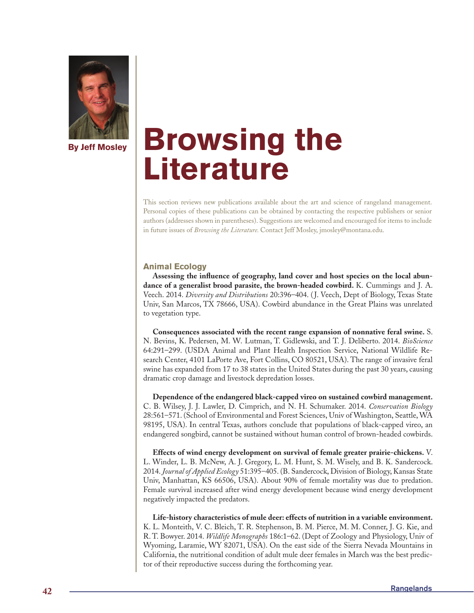

# **Browsing the Literature**

This section reviews new publications available about the art and science of rangeland management. Personal copies of these publications can be obtained by contacting the respective publishers or senior authors (addresses shown in parentheses). Suggestions are welcomed and encouraged for items to include in future issues of *Browsing the Literature.* Contact Jeff Mosley, jmosley@montana.edu.

# **Animal Ecology**

**Assessing the influence of geography, land cover and host species on the local abundance of a generalist brood parasite, the brown-headed cowbird.** K. Cummings and J. A. Veech. 2014. *Diversity and Distributions* 20:396–404. ( J. Veech, Dept of Biology, Texas State Univ, San Marcos, TX 78666, USA). Cowbird abundance in the Great Plains was unrelated to vegetation type.

**Consequences associated with the recent range expansion of nonnative feral swine.** S. N. Bevins, K. Pedersen, M. W. Lutman, T. Gidlewski, and T. J. Deliberto. 2014. *BioScience* 64:291–299. (USDA Animal and Plant Health Inspection Service, National Wildlife Research Center, 4101 LaPorte Ave, Fort Collins, CO 80521, USA). The range of invasive feral swine has expanded from 17 to 38 states in the United States during the past 30 years, causing dramatic crop damage and livestock depredation losses.

**Dependence of the endangered black-capped vireo on sustained cowbird management.**  C. B. Wilsey, J. J. Lawler, D. Cimprich, and N. H. Schumaker. 2014. *Conservation Biology* 28:561–571. (School of Environmental and Forest Sciences, Univ of Washington, Seattle, WA 98195, USA). In central Texas, authors conclude that populations of black-capped vireo, an endangered songbird, cannot be sustained without human control of brown-headed cowbirds.

**Effects of wind energy development on survival of female greater prairie-chickens.** V. L. Winder, L. B. McNew, A. J. Gregory, L. M. Hunt, S. M. Wisely, and B. K. Sandercock. 2014. *Journal of Applied Ecology* 51:395–405. (B. Sandercock, Division of Biology, Kansas State Univ, Manhattan, KS 66506, USA). About 90% of female mortality was due to predation. Female survival increased after wind energy development because wind energy development negatively impacted the predators.

**Life-history characteristics of mule deer: effects of nutrition in a variable environment.**  K. L. Monteith, V. C. Bleich, T. R. Stephenson, B. M. Pierce, M. M. Conner, J. G. Kie, and R. T. Bowyer. 2014. *Wildlife Monographs* 186:1–62. (Dept of Zoology and Physiology, Univ of Wyoming, Laramie, WY 82071, USA). On the east side of the Sierra Nevada Mountains in California, the nutritional condition of adult mule deer females in March was the best predictor of their reproductive success during the forthcoming year.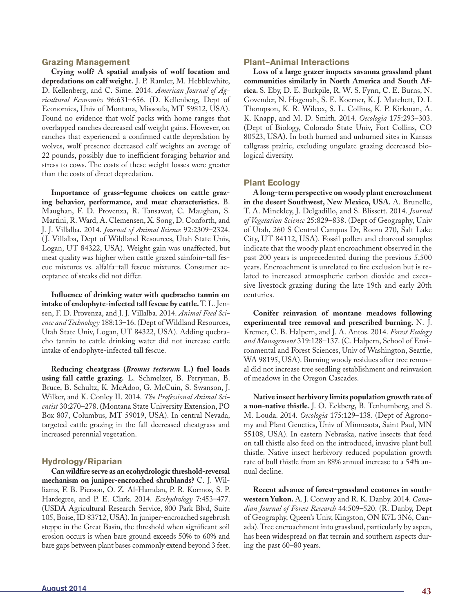#### **Grazing Management**

**Crying wolf? A spatial analysis of wolf location and depredations on calf weight.** J. P. Ramler, M. Hebblewhite, D. Kellenberg, and C. Sime. 2014. *American Journal of Agricultural Economics* 96:631–656. (D. Kellenberg, Dept of Economics, Univ of Montana, Missoula, MT 59812, USA). Found no evidence that wolf packs with home ranges that overlapped ranches decreased calf weight gains. However, on ranches that experienced a confirmed cattle depredation by wolves, wolf presence decreased calf weights an average of 22 pounds, possibly due to inefficient foraging behavior and stress to cows. The costs of these weight losses were greater than the costs of direct depredation.

**Importance of grass–legume choices on cattle grazing behavior, performance, and meat characteristics.** B. Maughan, F. D. Provenza, R. Tansawat, C. Maughan, S. Martini, R. Ward, A. Clemensen, X. Song, D. Conforth, and J. J. Villalba. 2014. *Journal of Animal Science* 92:2309–2324. ( J. Villalba, Dept of Wildland Resources, Utah State Univ, Logan, UT 84322, USA). Weight gain was unaffected, but meat quality was higher when cattle grazed sainfoin–tall fescue mixtures vs. alfalfa–tall fescue mixtures. Consumer acceptance of steaks did not differ.

**Influence of drinking water with quebracho tannin on intake of endophyte-infected tall fescue by cattle.** T. L. Jensen, F. D. Provenza, and J. J. Villalba. 2014. *Animal Feed Science and Technology* 188:13–16. (Dept of Wildland Resources, Utah State Univ, Logan, UT 84322, USA). Adding quebracho tannin to cattle drinking water did not increase cattle intake of endophyte-infected tall fescue.

**Reducing cheatgrass (***Bromus tectorum* **L.) fuel loads using fall cattle grazing.** L. Schmelzer, B. Perryman, B. Bruce, B. Schultz, K. McAdoo, G. McCuin, S. Swanson, J. Wilker, and K. Conley II. 2014. *The Professional Animal Scientist* 30:270–278. (Montana State University Extension, PO Box 807, Columbus, MT 59019, USA). In central Nevada, targeted cattle grazing in the fall decreased cheatgrass and increased perennial vegetation.

# **Hydrology/Riparian**

**Can wildfire serve as an ecohydrologic threshold-reversal mechanism on juniper-encroached shrublands?** C. J. Williams, F. B. Pierson, O. Z. Al-Hamdan, P. R. Kormos, S. P. Hardegree, and P. E. Clark. 2014. *Ecohydrology* 7:453–477. (USDA Agricultural Research Service, 800 Park Blvd, Suite 105, Boise, ID 83712, USA). In juniper-encroached sagebrush steppe in the Great Basin, the threshold when significant soil erosion occurs is when bare ground exceeds 50% to 60% and bare gaps between plant bases commonly extend beyond 3 feet.

#### **Plant–Animal Interactions**

**Loss of a large grazer impacts savanna grassland plant communities similarly in North America and South Africa.** S. Eby, D. E. Burkpile, R. W. S. Fynn, C. E. Burns, N. Govender, N. Hagenah, S. E. Koerner, K. J. Matchett, D. I. Thompson, K. R. Wilcox, S. L. Collins, K. P. Kirkman, A. K. Knapp, and M. D. Smith. 2014. *Oecologia* 175:293–303. (Dept of Biology, Colorado State Univ, Fort Collins, CO 80523, USA). In both burned and unburned sites in Kansas tallgrass prairie, excluding ungulate grazing decreased biological diversity.

# **Plant Ecology**

**A long-term perspective on woody plant encroachment in the desert Southwest, New Mexico, USA.** A. Brunelle, T. A. Minckley, J. Delgadillo, and S. Blissett. 2014. *Journal of Vegetation Science* 25:829–838. (Dept of Geography, Univ of Utah, 260 S Central Campus Dr, Room 270, Salt Lake City, UT 84112, USA). Fossil pollen and charcoal samples indicate that the woody plant encroachment observed in the past 200 years is unprecedented during the previous 5,500 years. Encroachment is unrelated to fire exclusion but is related to increased atmospheric carbon dioxide and excessive livestock grazing during the late 19th and early 20th centuries.

**Conifer reinvasion of montane meadows following experimental tree removal and prescribed burning.** N. J. Kremer, C. B. Halpern, and J. A. Antos. 2014. *Forest Ecology and Management* 319:128–137. (C. Halpern, School of Environmental and Forest Sciences, Univ of Washington, Seattle, WA 98195, USA). Burning woody residues after tree removal did not increase tree seedling establishment and reinvasion of meadows in the Oregon Cascades.

**Native insect herbivory limits population growth rate of a non-native thistle.** J. O. Eckberg, B. Tenhumberg, and S. M. Louda. 2014. *Oecologia* 175:129–138. (Dept of Agronomy and Plant Genetics, Univ of Minnesota, Saint Paul, MN 55108, USA). In eastern Nebraska, native insects that feed on tall thistle also feed on the introduced, invasive plant bull thistle. Native insect herbivory reduced population growth rate of bull thistle from an 88% annual increase to a 54% annual decline.

**Recent advance of forest–grassland ecotones in southwestern Yukon.** A. J. Conway and R. K. Danby. 2014. *Canadian Journal of Forest Research* 44:509–520. (R. Danby, Dept of Geography, Queen's Univ, Kingston, ON K7L 3N6, Canada). Tree encroachment into grassland, particularly by aspen, has been widespread on flat terrain and southern aspects during the past 60–80 years.